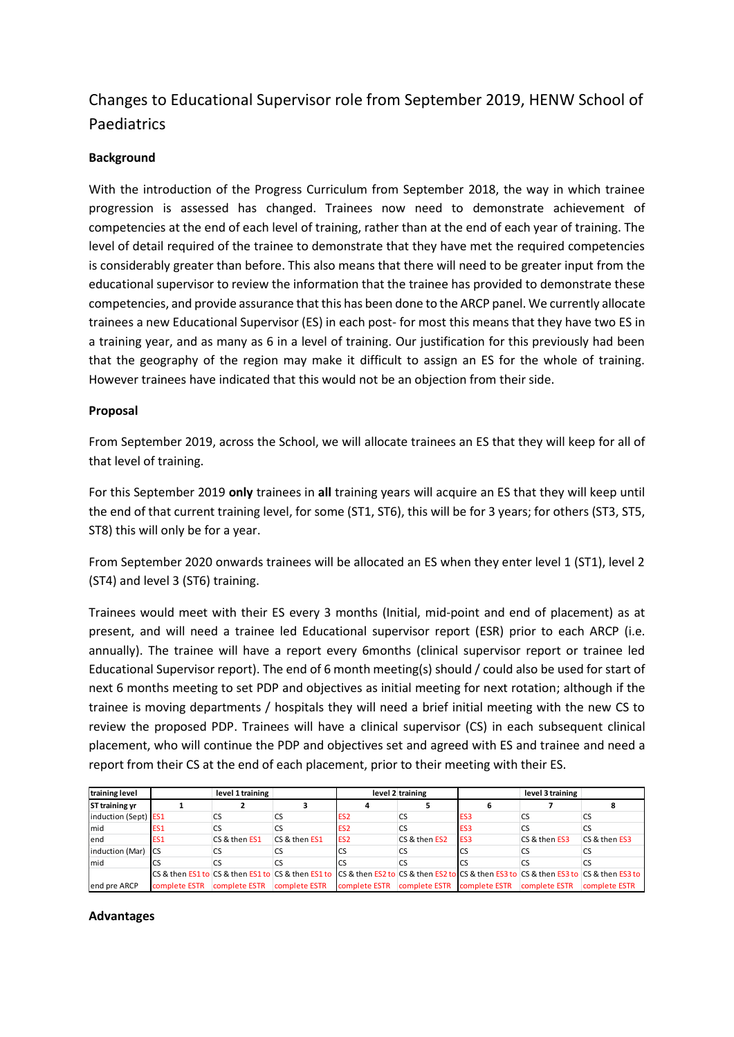# Changes to Educational Supervisor role from September 2019, HENW School of Paediatrics

### **Background**

With the introduction of the Progress Curriculum from September 2018, the way in which trainee progression is assessed has changed. Trainees now need to demonstrate achievement of competencies at the end of each level of training, rather than at the end of each year of training. The level of detail required of the trainee to demonstrate that they have met the required competencies is considerably greater than before. This also means that there will need to be greater input from the educational supervisor to review the information that the trainee has provided to demonstrate these competencies, and provide assurance that this has been done to the ARCP panel. We currently allocate trainees a new Educational Supervisor (ES) in each post- for most this means that they have two ES in a training year, and as many as 6 in a level of training. Our justification for this previously had been that the geography of the region may make it difficult to assign an ES for the whole of training. However trainees have indicated that this would not be an objection from their side.

### **Proposal**

From September 2019, across the School, we will allocate trainees an ES that they will keep for all of that level of training.

For this September 2019 **only** trainees in **all** training years will acquire an ES that they will keep until the end of that current training level, for some (ST1, ST6), this will be for 3 years; for others (ST3, ST5, ST8) this will only be for a year.

From September 2020 onwards trainees will be allocated an ES when they enter level 1 (ST1), level 2 (ST4) and level 3 (ST6) training.

Trainees would meet with their ES every 3 months (Initial, mid-point and end of placement) as at present, and will need a trainee led Educational supervisor report (ESR) prior to each ARCP (i.e. annually). The trainee will have a report every 6months (clinical supervisor report or trainee led Educational Supervisor report). The end of 6 month meeting(s) should / could also be used for start of next 6 months meeting to set PDP and objectives as initial meeting for next rotation; although if the trainee is moving departments / hospitals they will need a brief initial meeting with the new CS to review the proposed PDP. Trainees will have a clinical supervisor (CS) in each subsequent clinical placement, who will continue the PDP and objectives set and agreed with ES and trainee and need a report from their CS at the end of each placement, prior to their meeting with their ES.

| training level        | level 1 training |               | level 2 training                                                                                                                                                          |                 |               | level 3 training |               |               |
|-----------------------|------------------|---------------|---------------------------------------------------------------------------------------------------------------------------------------------------------------------------|-----------------|---------------|------------------|---------------|---------------|
| <b>ST training yr</b> |                  |               |                                                                                                                                                                           |                 |               |                  |               |               |
| induction (Sept) ES1  |                  | CS            | CS                                                                                                                                                                        | ES <sub>2</sub> | <b>CS</b>     | ES <sub>3</sub>  | CS            | CS            |
| mid                   | ES <sub>1</sub>  | CS            |                                                                                                                                                                           | ES <sub>2</sub> | <b>CS</b>     | ES <sub>3</sub>  | CS            | CS            |
| lend                  | ES <sub>1</sub>  | CS & then ES1 | CS & then ES1                                                                                                                                                             | ES <sub>2</sub> | CS & then ES2 | ES <sub>3</sub>  | CS & then ES3 | CS & then ES3 |
| induction (Mar)       | <b>ICS</b>       | CS            |                                                                                                                                                                           | <b>CS</b>       | CS            | C                | CS            | CS            |
| Imid                  | CS               | CS            |                                                                                                                                                                           | <b>CS</b>       | CS.           |                  |               |               |
|                       |                  |               | CS & then ES1 to CS & then ES1 to CS & then ES1 to CS & then ES2 to CS & then ES2 to CS & then ES3 to CS & then ES3 to CS & then ES3 to CS & then ES3 to CS & then ES3 to |                 |               |                  |               |               |
| end pre ARCP          | complete ESTR    | complete ESTR | complete ESTR                                                                                                                                                             | complete ESTR   | complete ESTR | complete ESTR    | complete ESTR | complete ESTR |

#### **Advantages**